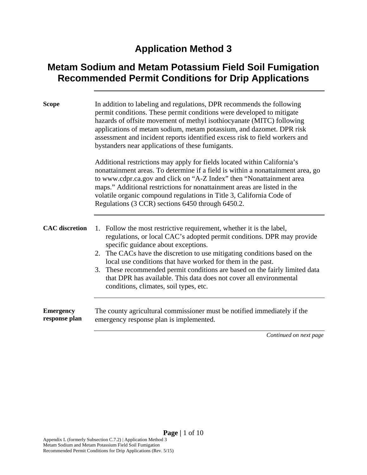#### **Application Method 3**

#### **Metam Sodium and Metam Potassium Field Soil Fumigation Recommended Permit Conditions for Drip Applications**

| <b>Scope</b>                      | In addition to labeling and regulations, DPR recommends the following<br>permit conditions. These permit conditions were developed to mitigate<br>hazards of offsite movement of methyl isothiocyanate (MITC) following<br>applications of metam sodium, metam potassium, and dazomet. DPR risk<br>assessment and incident reports identified excess risk to field workers and<br>bystanders near applications of these fumigants.<br>Additional restrictions may apply for fields located within California's<br>nonattainment areas. To determine if a field is within a nonattainment area, go<br>to www.cdpr.ca.gov and click on "A-Z Index" then "Nonattainment area |  |  |
|-----------------------------------|---------------------------------------------------------------------------------------------------------------------------------------------------------------------------------------------------------------------------------------------------------------------------------------------------------------------------------------------------------------------------------------------------------------------------------------------------------------------------------------------------------------------------------------------------------------------------------------------------------------------------------------------------------------------------|--|--|
|                                   | maps." Additional restrictions for nonattainment areas are listed in the<br>volatile organic compound regulations in Title 3, California Code of<br>Regulations (3 CCR) sections 6450 through 6450.2.                                                                                                                                                                                                                                                                                                                                                                                                                                                                     |  |  |
| <b>CAC</b> discretion             | Follow the most restrictive requirement, whether it is the label,<br>1.<br>regulations, or local CAC's adopted permit conditions. DPR may provide<br>specific guidance about exceptions.<br>2. The CACs have the discretion to use mitigating conditions based on the<br>local use conditions that have worked for them in the past.<br>3. These recommended permit conditions are based on the fairly limited data<br>that DPR has available. This data does not cover all environmental<br>conditions, climates, soil types, etc.                                                                                                                                       |  |  |
| <b>Emergency</b><br>response plan | The county agricultural commissioner must be notified immediately if the<br>emergency response plan is implemented.                                                                                                                                                                                                                                                                                                                                                                                                                                                                                                                                                       |  |  |
|                                   | Continued on next page                                                                                                                                                                                                                                                                                                                                                                                                                                                                                                                                                                                                                                                    |  |  |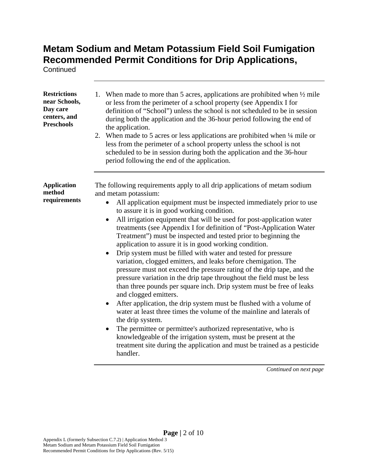**Continued** 

| <b>Restrictions</b><br>near Schools,<br>Day care<br>centers, and<br><b>Preschools</b> | 1. When made to more than 5 acres, applications are prohibited when $\frac{1}{2}$ mile<br>or less from the perimeter of a school property (see Appendix I for<br>definition of "School") unless the school is not scheduled to be in session<br>during both the application and the 36-hour period following the end of<br>the application.<br>2. When made to 5 acres or less applications are prohibited when 1/4 mile or<br>less from the perimeter of a school property unless the school is not<br>scheduled to be in session during both the application and the 36-hour<br>period following the end of the application.                                                                                                                                                                                                                                                                                                                                                                                                                                                                                                                                                                                                                                                                            |
|---------------------------------------------------------------------------------------|-----------------------------------------------------------------------------------------------------------------------------------------------------------------------------------------------------------------------------------------------------------------------------------------------------------------------------------------------------------------------------------------------------------------------------------------------------------------------------------------------------------------------------------------------------------------------------------------------------------------------------------------------------------------------------------------------------------------------------------------------------------------------------------------------------------------------------------------------------------------------------------------------------------------------------------------------------------------------------------------------------------------------------------------------------------------------------------------------------------------------------------------------------------------------------------------------------------------------------------------------------------------------------------------------------------|
| <b>Application</b><br>method<br>requirements                                          | The following requirements apply to all drip applications of metam sodium<br>and metam potassium:<br>All application equipment must be inspected immediately prior to use<br>to assure it is in good working condition.<br>All irrigation equipment that will be used for post-application water<br>$\bullet$<br>treatments (see Appendix I for definition of "Post-Application Water<br>Treatment") must be inspected and tested prior to beginning the<br>application to assure it is in good working condition.<br>Drip system must be filled with water and tested for pressure<br>variation, clogged emitters, and leaks before chemigation. The<br>pressure must not exceed the pressure rating of the drip tape, and the<br>pressure variation in the drip tape throughout the field must be less<br>than three pounds per square inch. Drip system must be free of leaks<br>and clogged emitters.<br>After application, the drip system must be flushed with a volume of<br>water at least three times the volume of the mainline and laterals of<br>the drip system.<br>The permittee or permittee's authorized representative, who is<br>knowledgeable of the irrigation system, must be present at the<br>treatment site during the application and must be trained as a pesticide<br>handler. |

*Continued on next page*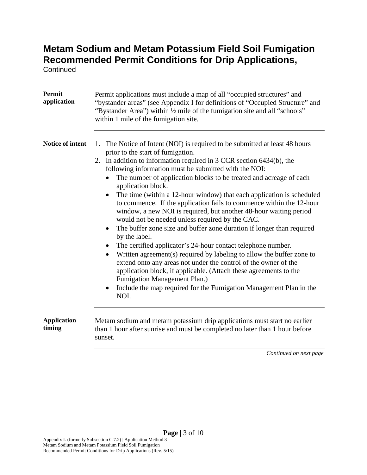**Continued** 

| <b>Permit</b><br>application | Permit applications must include a map of all "occupied structures" and<br>"bystander areas" (see Appendix I for definitions of "Occupied Structure" and<br>"Bystander Area") within 1/2 mile of the fumigation site and all "schools"<br>within 1 mile of the fumigation site.                                                                                                                                                                                                                                                                                                                                                                                                                                                                                                                                                                                                                                                                                                                                                                                                                                                                                           |  |  |  |  |
|------------------------------|---------------------------------------------------------------------------------------------------------------------------------------------------------------------------------------------------------------------------------------------------------------------------------------------------------------------------------------------------------------------------------------------------------------------------------------------------------------------------------------------------------------------------------------------------------------------------------------------------------------------------------------------------------------------------------------------------------------------------------------------------------------------------------------------------------------------------------------------------------------------------------------------------------------------------------------------------------------------------------------------------------------------------------------------------------------------------------------------------------------------------------------------------------------------------|--|--|--|--|
| Notice of intent             | The Notice of Intent (NOI) is required to be submitted at least 48 hours<br>1.<br>prior to the start of fumigation.<br>In addition to information required in 3 CCR section 6434(b), the<br>2.<br>following information must be submitted with the NOI:<br>The number of application blocks to be treated and acreage of each<br>$\bullet$<br>application block.<br>The time (within a 12-hour window) that each application is scheduled<br>$\bullet$<br>to commence. If the application fails to commence within the 12-hour<br>window, a new NOI is required, but another 48-hour waiting period<br>would not be needed unless required by the CAC.<br>The buffer zone size and buffer zone duration if longer than required<br>$\bullet$<br>by the label.<br>The certified applicator's 24-hour contact telephone number.<br>$\bullet$<br>Written agreement(s) required by labeling to allow the buffer zone to<br>extend onto any areas not under the control of the owner of the<br>application block, if applicable. (Attach these agreements to the<br>Fumigation Management Plan.)<br>Include the map required for the Fumigation Management Plan in the<br>NOI. |  |  |  |  |
| <b>Application</b><br>timing | Metam sodium and metam potassium drip applications must start no earlier<br>than 1 hour after sunrise and must be completed no later than 1 hour before<br>sunset.<br>Continued on next page                                                                                                                                                                                                                                                                                                                                                                                                                                                                                                                                                                                                                                                                                                                                                                                                                                                                                                                                                                              |  |  |  |  |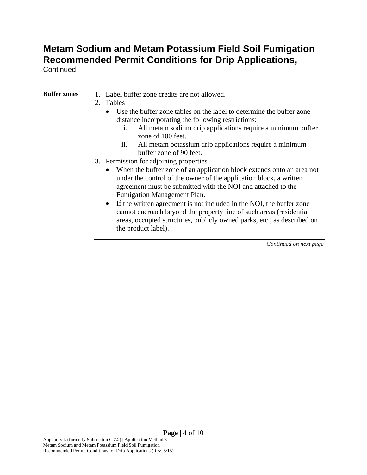**Continued** 

- **Buffer zones** 1. Label buffer zone credits are not allowed.
	- 2. Tables
		- Use the buffer zone tables on the label to determine the buffer zone distance incorporating the following restrictions:
			- i. All metam sodium drip applications require a minimum buffer zone of 100 feet.
			- ii. All metam potassium drip applications require a minimum buffer zone of 90 feet.
	- 3. Permission for adjoining properties
		- When the buffer zone of an application block extends onto an area not under the control of the owner of the application block, a written agreement must be submitted with the NOI and attached to the Fumigation Management Plan.
		- If the written agreement is not included in the NOI, the buffer zone cannot encroach beyond the property line of such areas (residential areas, occupied structures, publicly owned parks, etc., as described on the product label).

*Continued on next page*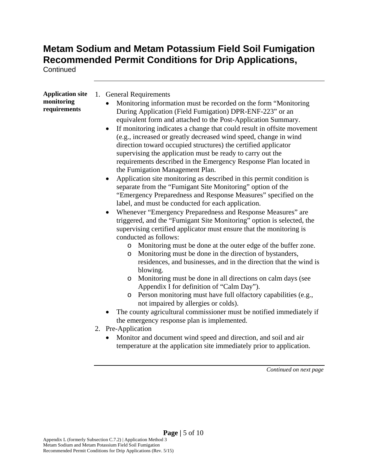**Continued** 

| <b>Application site</b><br>monitoring<br>requirements | 1. General Requirements<br>Monitoring information must be recorded on the form "Monitoring"<br>During Application (Field Fumigation) DPR-ENF-223" or an<br>equivalent form and attached to the Post-Application Summary.<br>If monitoring indicates a change that could result in offsite movement<br>$\bullet$<br>(e.g., increased or greatly decreased wind speed, change in wind<br>direction toward occupied structures) the certified applicator<br>supervising the application must be ready to carry out the<br>requirements described in the Emergency Response Plan located in<br>the Fumigation Management Plan.<br>Application site monitoring as described in this permit condition is<br>separate from the "Fumigant Site Monitoring" option of the<br>"Emergency Preparedness and Response Measures" specified on the<br>label, and must be conducted for each application.<br>Whenever "Emergency Preparedness and Response Measures" are<br>triggered, and the "Fumigant Site Monitoring" option is selected, the<br>supervising certified applicator must ensure that the monitoring is<br>conducted as follows:<br>o Monitoring must be done at the outer edge of the buffer zone.<br>Monitoring must be done in the direction of bystanders,<br>$\circ$<br>residences, and businesses, and in the direction that the wind is<br>blowing.<br>Monitoring must be done in all directions on calm days (see<br>$\circ$<br>Appendix I for definition of "Calm Day").<br>Person monitoring must have full olfactory capabilities (e.g.,<br>$\circ$<br>not impaired by allergies or colds).<br>The county agricultural commissioner must be notified immediately if<br>the emergency response plan is implemented.<br>2. Pre-Application<br>Monitor and document wind speed and direction, and soil and air<br>temperature at the application site immediately prior to application. |
|-------------------------------------------------------|--------------------------------------------------------------------------------------------------------------------------------------------------------------------------------------------------------------------------------------------------------------------------------------------------------------------------------------------------------------------------------------------------------------------------------------------------------------------------------------------------------------------------------------------------------------------------------------------------------------------------------------------------------------------------------------------------------------------------------------------------------------------------------------------------------------------------------------------------------------------------------------------------------------------------------------------------------------------------------------------------------------------------------------------------------------------------------------------------------------------------------------------------------------------------------------------------------------------------------------------------------------------------------------------------------------------------------------------------------------------------------------------------------------------------------------------------------------------------------------------------------------------------------------------------------------------------------------------------------------------------------------------------------------------------------------------------------------------------------------------------------------------------------------------------------------------------------------------------------------------------------------------------|
|                                                       | Continued on next page                                                                                                                                                                                                                                                                                                                                                                                                                                                                                                                                                                                                                                                                                                                                                                                                                                                                                                                                                                                                                                                                                                                                                                                                                                                                                                                                                                                                                                                                                                                                                                                                                                                                                                                                                                                                                                                                           |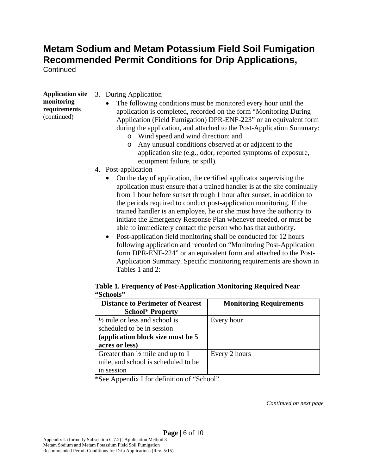**Continued** 

| <b>Application site</b><br>monitoring<br>requirements<br>(continued) | 3. During Application<br>The following conditions must be monitored every hour until the<br>application is completed, recorded on the form "Monitoring During<br>Application (Field Fumigation) DPR-ENF-223" or an equivalent form<br>during the application, and attached to the Post-Application Summary:<br>Wind speed and wind direction: and<br>$\circ$<br>Any unusual conditions observed at or adjacent to the<br>O<br>application site (e.g., odor, reported symptoms of exposure,<br>equipment failure, or spill).                                                                                                                                                                                                                                                                                        |
|----------------------------------------------------------------------|--------------------------------------------------------------------------------------------------------------------------------------------------------------------------------------------------------------------------------------------------------------------------------------------------------------------------------------------------------------------------------------------------------------------------------------------------------------------------------------------------------------------------------------------------------------------------------------------------------------------------------------------------------------------------------------------------------------------------------------------------------------------------------------------------------------------|
|                                                                      | 4. Post-application                                                                                                                                                                                                                                                                                                                                                                                                                                                                                                                                                                                                                                                                                                                                                                                                |
|                                                                      | On the day of application, the certified applicator supervising the<br>application must ensure that a trained handler is at the site continually<br>from 1 hour before sunset through 1 hour after sunset, in addition to<br>the periods required to conduct post-application monitoring. If the<br>trained handler is an employee, he or she must have the authority to<br>initiate the Emergency Response Plan whenever needed, or must be<br>able to immediately contact the person who has that authority.<br>Post-application field monitoring shall be conducted for 12 hours<br>$\bullet$<br>following application and recorded on "Monitoring Post-Application"<br>form DPR-ENF-224" or an equivalent form and attached to the Post-<br>Application Summary. Specific monitoring requirements are shown in |

#### **Table 1. Frequency of Post-Application Monitoring Required Near "Schools"**

| <b>Distance to Perimeter of Nearest</b>     | <b>Monitoring Requirements</b> |
|---------------------------------------------|--------------------------------|
| <b>School* Property</b>                     |                                |
| $\frac{1}{2}$ mile or less and school is    | Every hour                     |
| scheduled to be in session                  |                                |
| (application block size must be 5)          |                                |
| acres or less)                              |                                |
| Greater than $\frac{1}{2}$ mile and up to 1 | Every 2 hours                  |
| mile, and school is scheduled to be         |                                |
| in session                                  |                                |

\*See Appendix I for definition of "School"

Tables 1 and 2:

*Continued on next page*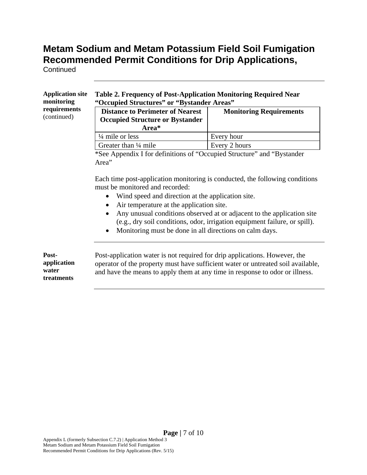**Continued** 

#### **Application site monitoring requirements**  (continued)

#### **Table 2. Frequency of Post-Application Monitoring Required Near "Occupied Structures" or "Bystander Areas"**

| <b>Distance to Perimeter of Nearest</b><br><b>Occupied Structure or Bystander</b><br>Area* | <b>Monitoring Requirements</b> |
|--------------------------------------------------------------------------------------------|--------------------------------|
| $\frac{1}{4}$ mile or less                                                                 | Every hour                     |
| Greater than $\frac{1}{4}$ mile                                                            | Every 2 hours                  |

\*See Appendix I for definitions of "Occupied Structure" and "Bystander Area"

Each time post-application monitoring is conducted, the following conditions must be monitored and recorded:

- Wind speed and direction at the application site.
- Air temperature at the application site.
- Any unusual conditions observed at or adjacent to the application site (e.g., dry soil conditions, odor, irrigation equipment failure, or spill).
- Monitoring must be done in all directions on calm days.

**Postapplication water treatments** 

Post-application water is not required for drip applications. However, the operator of the property must have sufficient water or untreated soil available, and have the means to apply them at any time in response to odor or illness.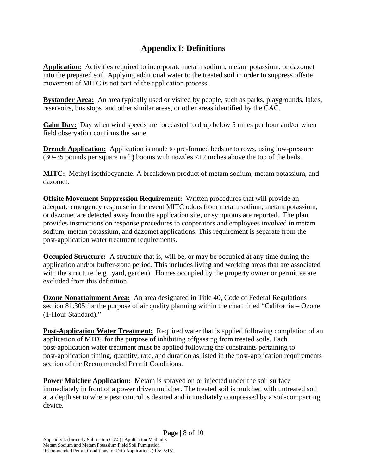#### **Appendix I: Definitions**

**Application:** Activities required to incorporate metam sodium, metam potassium, or dazomet into the prepared soil. Applying additional water to the treated soil in order to suppress offsite movement of MITC is not part of the application process.

**Bystander Area:** An area typically used or visited by people, such as parks, playgrounds, lakes, reservoirs, bus stops, and other similar areas, or other areas identified by the CAC.

**Calm Day:** Day when wind speeds are forecasted to drop below 5 miles per hour and/or when field observation confirms the same.

**Drench Application:** Application is made to pre-formed beds or to rows, using low-pressure (30–35 pounds per square inch) booms with nozzles <12 inches above the top of the beds.

**MITC:** Methyl isothiocyanate. A breakdown product of metam sodium, metam potassium, and dazomet.

**Offsite Movement Suppression Requirement:** Written procedures that will provide an adequate emergency response in the event MITC odors from metam sodium, metam potassium, or dazomet are detected away from the application site, or symptoms are reported. The plan provides instructions on response procedures to cooperators and employees involved in metam sodium, metam potassium, and dazomet applications. This requirement is separate from the post-application water treatment requirements.

**Occupied Structure:** A structure that is, will be, or may be occupied at any time during the application and/or buffer-zone period. This includes living and working areas that are associated with the structure (e.g., yard, garden). Homes occupied by the property owner or permittee are excluded from this definition.

**Ozone Nonattainment Area:** An area designated in Title 40, Code of Federal Regulations section 81.305 for the purpose of air quality planning within the chart titled "California – Ozone (1-Hour Standard)."

**Post-Application Water Treatment:** Required water that is applied following completion of an application of MITC for the purpose of inhibiting offgassing from treated soils. Each post-application water treatment must be applied following the constraints pertaining to post-application timing, quantity, rate, and duration as listed in the post-application requirements section of the Recommended Permit Conditions.

**Power Mulcher Application:** Metam is sprayed on or injected under the soil surface immediately in front of a power driven mulcher. The treated soil is mulched with untreated soil at a depth set to where pest control is desired and immediately compressed by a soil-compacting device.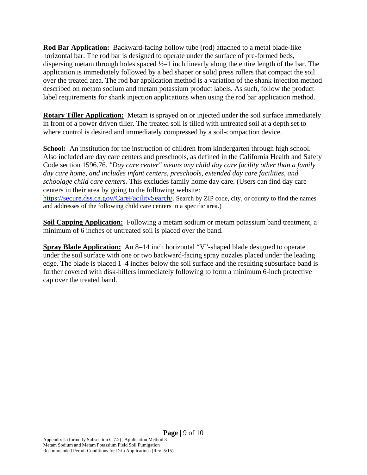**Rod Bar Application:** Backward-facing hollow tube (rod) attached to a metal blade-like horizontal bar. The rod bar is designed to operate under the surface of pre-formed beds, dispersing metam through holes spaced ½–1 inch linearly along the entire length of the bar. The application is immediately followed by a bed shaper or solid press rollers that compact the soil over the treated area. The rod bar application method is a variation of the shank injection method described on metam sodium and metam potassium product labels. As such, follow the product label requirements for shank injection applications when using the rod bar application method.

**Rotary Tiller Application:** Metam is sprayed on or injected under the soil surface immediately in front of a power driven tiller. The treated soil is tilled with untreated soil at a depth set to where control is desired and immediately compressed by a soil-compaction device.

**School:** An institution for the instruction of children from kindergarten through high school. Also included are day care centers and preschools, as defined in the California Health and Safety Code section 1596.76. *"Day care center" means any child day care facility other than a family day care home, and includes infant centers, preschools, extended day care facilities, and schoolage child care centers.* This excludes family home day care. (Users can find day care centers in their area by going to the following website: https://secure.dss.ca.gov/CareFacilitySearch/. Search by ZIP code, city, or county to find the names and addresses of the following child care centers in a specific area.)

**Soil Capping Application:** Following a metam sodium or metam potassium band treatment, a minimum of 6 inches of untreated soil is placed over the band.

**Spray Blade Application:** An 8–14 inch horizontal "V"-shaped blade designed to operate under the soil surface with one or two backward-facing spray nozzles placed under the leading edge. The blade is placed 1–4 inches below the soil surface and the resulting subsurface band is further covered with disk-hillers immediately following to form a minimum 6-inch protective cap over the treated band.